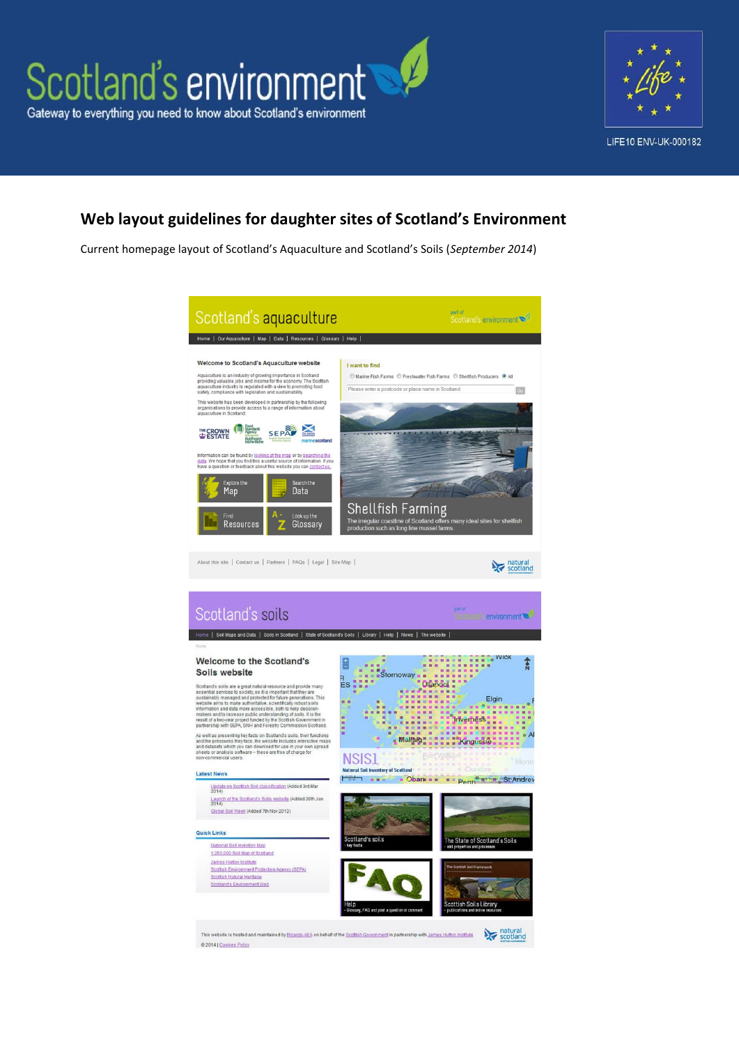



# **Web layout guidelines for daughter sites of Scotland's Environment**

Current homepage layout of Scotland's Aquaculture and Scotland's Soils (*September 2014*)

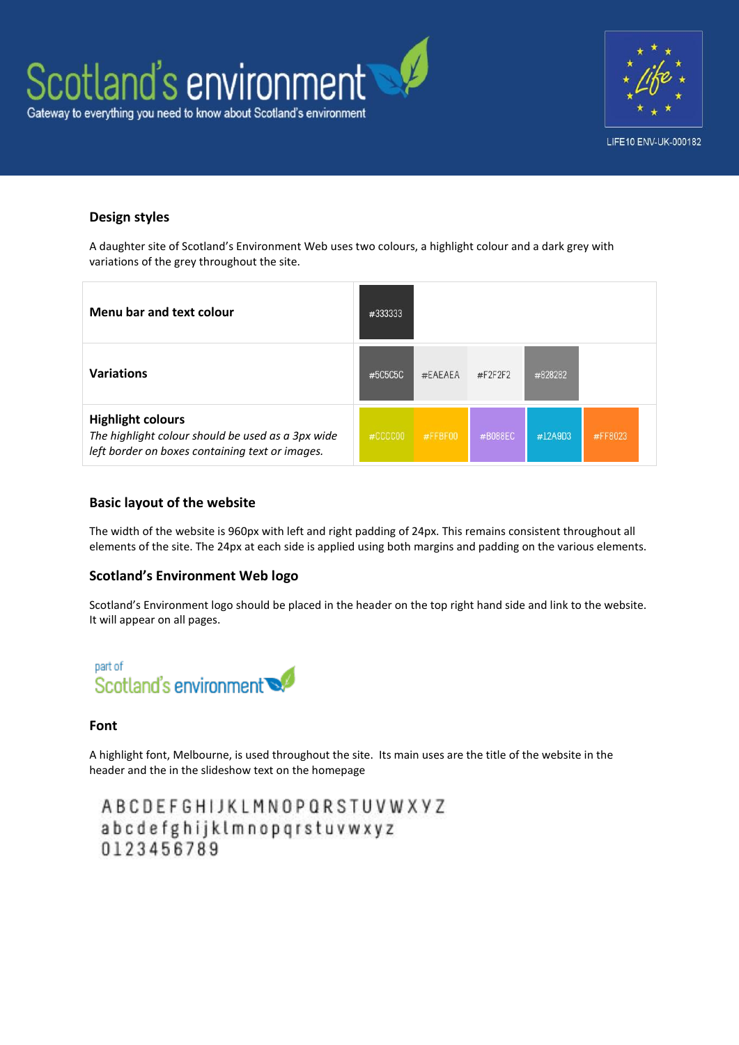



# **Design styles**

A daughter site of Scotland's Environment Web uses two colours, a highlight colour and a dark grey with variations of the grey throughout the site.

| Menu bar and text colour                                                                                                         | #333333 |         |         |             |         |
|----------------------------------------------------------------------------------------------------------------------------------|---------|---------|---------|-------------|---------|
| <b>Variations</b>                                                                                                                | #5C5C5C | #EAEAEA | #F2F2F2 | #828282     |         |
| <b>Highlight colours</b><br>The highlight colour should be used as a 3px wide<br>left border on boxes containing text or images. | #CCCCOO | #FFBF00 | #B088EC | $\#12$ A9D3 | #FF8023 |

#### **Basic layout of the website**

The width of the website is 960px with left and right padding of 24px. This remains consistent throughout all elements of the site. The 24px at each side is applied using both margins and padding on the various elements.

## **Scotland's Environment Web logo**

Scotland's Environment logo should be placed in the header on the top right hand side and link to the website. It will appear on all pages.



#### **Font**

A highlight font, Melbourne, is used throughout the site. Its main uses are the title of the website in the header and the in the slideshow text on the homepage

ABCDEFGHIJKLMNOPQRSTUVWXYZ abcdefghijklmnopqrstuvwxyz 0123456789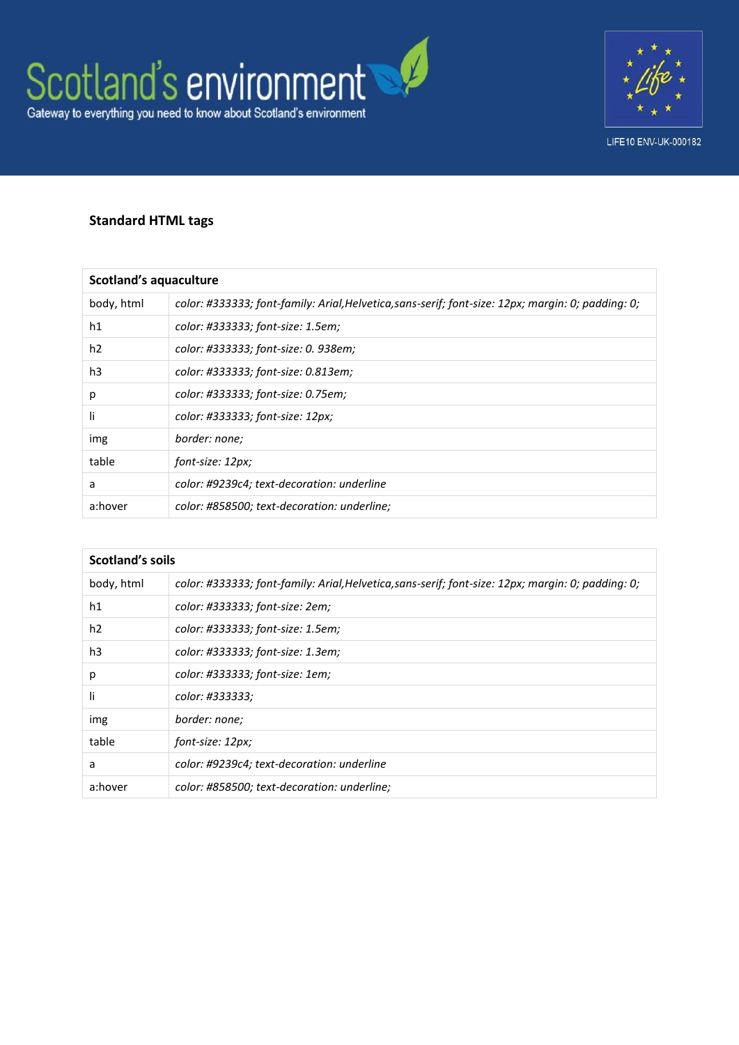



# **Standard HTML tags**

| <b>Scotland's aquaculture</b> |                                                                                                    |  |  |
|-------------------------------|----------------------------------------------------------------------------------------------------|--|--|
| body, html                    | color: #333333; font-family: Arial, Helvetica, sans-serif; font-size: 12px; margin: 0; padding: 0; |  |  |
| h1                            | color: #333333; font-size: 1.5em;                                                                  |  |  |
| h <sub>2</sub>                | color: #333333; font-size: 0. 938em;                                                               |  |  |
| h3                            | color: #333333; font-size: 0.813em;                                                                |  |  |
| p                             | color: #333333; font-size: 0.75em;                                                                 |  |  |
| li                            | color: #333333; font-size: 12px;                                                                   |  |  |
| img                           | border: none;                                                                                      |  |  |
| table                         | font-size: 12px;                                                                                   |  |  |
| a                             | color: #9239c4; text-decoration: underline                                                         |  |  |
| a:hover                       | color: #858500; text-decoration: underline;                                                        |  |  |

| Scotland's soils |                                                                                                    |  |
|------------------|----------------------------------------------------------------------------------------------------|--|
| body, html       | color: #333333; font-family: Arial, Helvetica, sans-serif; font-size: 12px; margin: 0; padding: 0; |  |
| h1               | color: #333333; font-size: 2em;                                                                    |  |
| h <sub>2</sub>   | color: #333333; font-size: 1.5em;                                                                  |  |
| h3               | color: #333333; font-size: 1.3em;                                                                  |  |
| р                | color: #333333; font-size: 1em;                                                                    |  |
| li               | color: #333333;                                                                                    |  |
| img              | border: none;                                                                                      |  |
| table            | font-size: 12px;                                                                                   |  |
| a                | color: #9239c4; text-decoration: underline                                                         |  |
| a:hover          | color: #858500; text-decoration: underline;                                                        |  |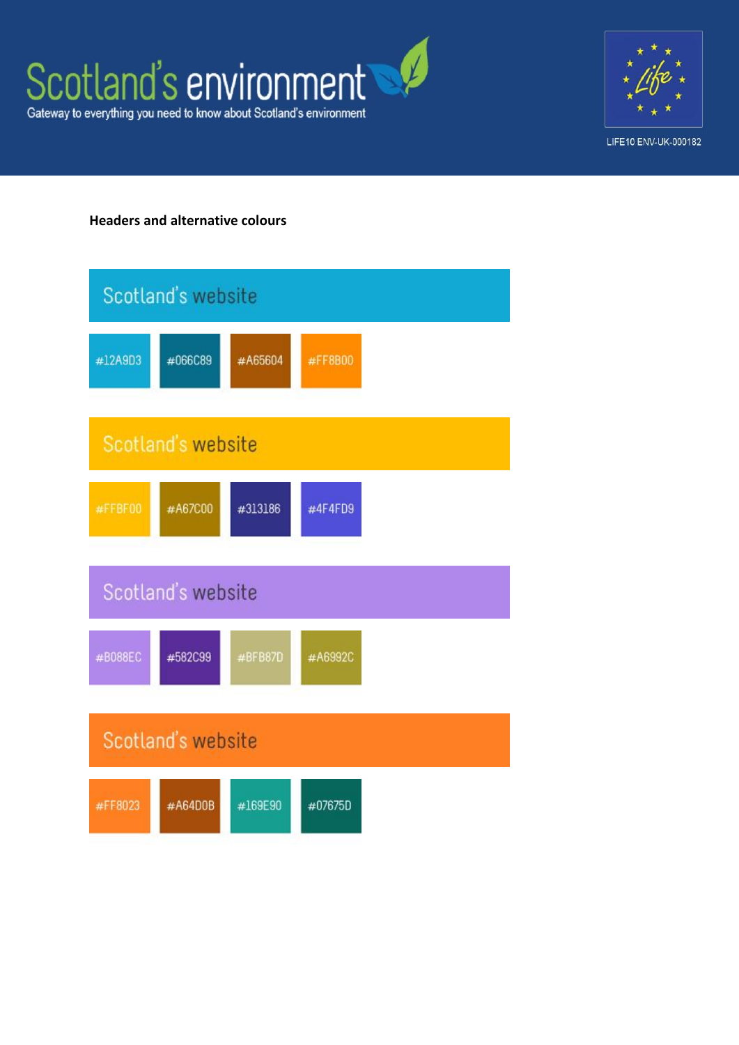



# **Headers and alternative colours**

|                    | Scotland's website |         |         |  |
|--------------------|--------------------|---------|---------|--|
| #12A9D3            | #066C89            | #A65604 | #FF8B00 |  |
|                    | Scotland's website |         |         |  |
| #FFBF00            | #A67C00            | #313186 | #4F4FD9 |  |
|                    | Scotland's website |         |         |  |
| #B088EC            | #582C99            | #BFB87D | #A6992C |  |
| Scotland's website |                    |         |         |  |
| #FF8023            | #A64D0B            | #169E90 | #07675D |  |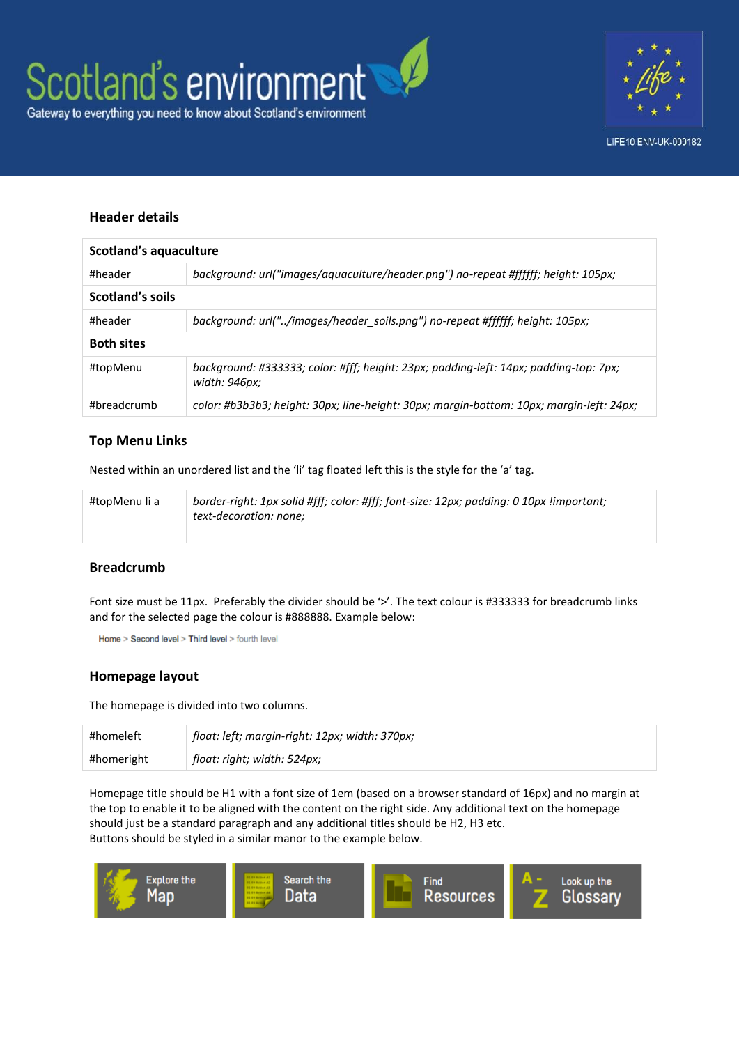



## **Header details**

| Scotland's aquaculture |                                                                                                        |  |
|------------------------|--------------------------------------------------------------------------------------------------------|--|
| #header                | background: url("images/aquaculture/header.png") no-repeat #ffffff; height: 105px;                     |  |
| Scotland's soils       |                                                                                                        |  |
| #header                | background: url("/images/header soils.png") no-repeat #ffffff; height: 105px;                          |  |
| <b>Both sites</b>      |                                                                                                        |  |
| #topMenu               | background: #333333; color: #fff; height: 23px; padding-left: 14px; padding-top: 7px;<br>width: 946px; |  |
| #breadcrumb            | color: #b3b3b3; height: 30px; line-height: 30px; margin-bottom: 10px; margin-left: 24px;               |  |

#### **Top Menu Links**

Nested within an unordered list and the 'li' tag floated left this is the style for the 'a' tag.

| #topMenu li a | border-right: 1px solid #fff; color: #fff; font-size: 12px; padding: 0 10px !important;<br>text-decoration: none: |
|---------------|-------------------------------------------------------------------------------------------------------------------|
|               |                                                                                                                   |

#### **Breadcrumb**

Font size must be 11px. Preferably the divider should be '>'. The text colour is #333333 for breadcrumb links and for the selected page the colour is #888888. Example below:

Home > Second level > Third level > fourth level

#### **Homepage layout**

The homepage is divided into two columns.

| #homeleft  | float: left; margin-right: 12px; width: 370px; |
|------------|------------------------------------------------|
| #homeright | float: right; width: 524px;                    |

Homepage title should be H1 with a font size of 1em (based on a browser standard of 16px) and no margin at the top to enable it to be aligned with the content on the right side. Any additional text on the homepage should just be a standard paragraph and any additional titles should be H2, H3 etc. Buttons should be styled in a similar manor to the example below.

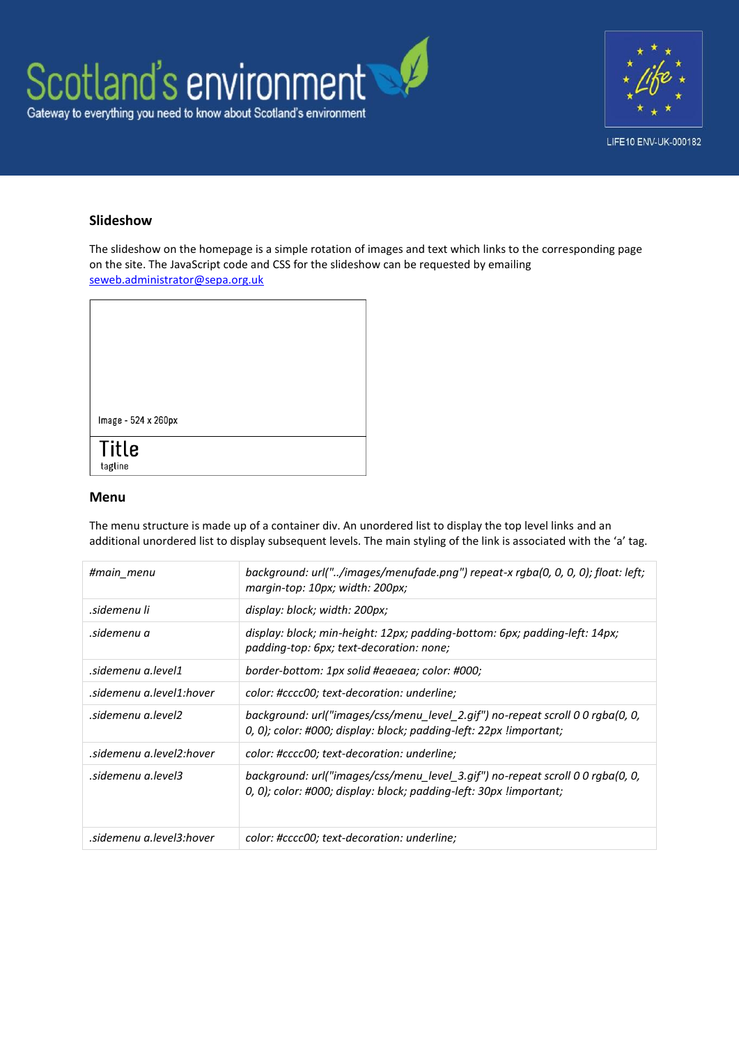



## **Slideshow**

The slideshow on the homepage is a simple rotation of images and text which links to the corresponding page on the site. The JavaScript code and CSS for the slideshow can be requested by emailing [seweb.administrator@sepa.org.uk](mailto:seweb.administrator@sepa.org.uk)

| Image - 524 x 260px     |  |  |
|-------------------------|--|--|
| <b>Title</b><br>tagline |  |  |

#### **Menu**

The menu structure is made up of a container div. An unordered list to display the top level links and an additional unordered list to display subsequent levels. The main styling of the link is associated with the 'a' tag.

| #main menu               | background: url("/images/menufade.png") repeat-x rgba(0, 0, 0, 0); float: left;<br>margin-top: 10px; width: 200px;                                   |
|--------------------------|------------------------------------------------------------------------------------------------------------------------------------------------------|
| sidemenu li.             | display: block; width: 200px;                                                                                                                        |
| sidemenu a.              | display: block; min-height: 12px; padding-bottom: 6px; padding-left: 14px;<br>padding-top: 6px; text-decoration: none;                               |
| sidemenu a.level1.       | border-bottom: 1px solid #eaeaea; color: #000;                                                                                                       |
| sidemenu a.level1:hover. | color: #cccc00; text-decoration: underline;                                                                                                          |
| sidemenu a level2        | background: url("images/css/menu level 2.gif") no-repeat scroll 0 0 rgba(0, 0,<br>0, 0); color: #000; display: block; padding-left: 22px limportant; |
| sidemenu a.level2:hover. | color: #cccc00; text-decoration: underline;                                                                                                          |
| sidemenu a.level3.       | background: url("images/css/menu level 3.gif") no-repeat scroll 0 0 rgba(0, 0,<br>0, 0); color: #000; display: block; padding-left: 30px limportant; |
| sidemenu a.level3:hover. | color: #cccc00; text-decoration: underline;                                                                                                          |